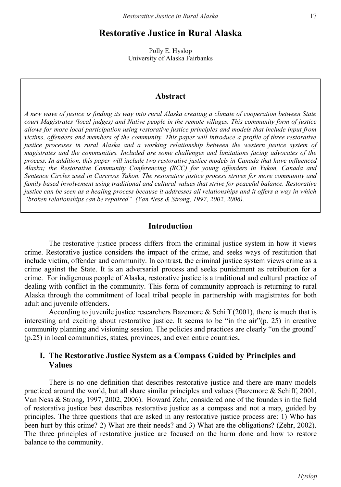# **Restorative Justice in Rural Alaska**

Polly E. Hyslop University of Alaska Fairbanks

#### **Abstract**

*A new wave of justice is finding its way into rural Alaska creating a climate of cooperation between State court Magistrates (local judges) and Native people in the remote villages. This community form of justice allows for more local participation using restorative justice principles and models that include input from victims, offenders and members of the community. This paper will introduce a profile of three restorative justice processes in rural Alaska and a working relationship between the western justice system of magistrates and the communities. Included are some challenges and limitations facing advocates of the process. In addition, this paper will include two restorative justice models in Canada that have influenced Alaska; the Restorative Community Conferencing (RCC) for young offenders in Yukon, Canada and Sentence Circles used in Carcross Yukon. The restorative justice process strives for more community and family based involvement using traditional and cultural values that strive for peaceful balance. Restorative justice can be seen as a healing process because it addresses all relationships and it offers a way in which "broken relationships can be repaired" (Van Ness & Strong, 1997, 2002, 2006).*

### **Introduction**

The restorative justice process differs from the criminal justice system in how it views crime. Restorative justice considers the impact of the crime, and seeks ways of restitution that include victim, offender and community. In contrast, the criminal justice system views crime as a crime against the State. It is an adversarial process and seeks punishment as retribution for a crime. For indigenous people of Alaska, restorative justice is a traditional and cultural practice of dealing with conflict in the community. This form of community approach is returning to rural Alaska through the commitment of local tribal people in partnership with magistrates for both adult and juvenile offenders.

According to juvenile justice researchers Bazemore & Schiff (2001), there is much that is interesting and exciting about restorative justice. It seems to be "in the air"(p. 25) in creative community planning and visioning session. The policies and practices are clearly "on the ground" (p.25) in local communities, states, provinces, and even entire countries**.** 

### **I. The Restorative Justice System as a Compass Guided by Principles and Values**

There is no one definition that describes restorative justice and there are many models practiced around the world, but all share similar principles and values (Bazemore & Schiff, 2001, Van Ness & Strong, 1997, 2002, 2006). Howard Zehr, considered one of the founders in the field of restorative justice best describes restorative justice as a compass and not a map, guided by principles. The three questions that are asked in any restorative justice process are: 1) Who has been hurt by this crime? 2) What are their needs? and 3) What are the obligations? (Zehr, 2002). The three principles of restorative justice are focused on the harm done and how to restore balance to the community.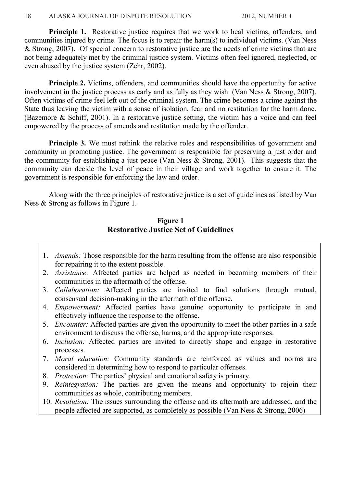**Principle 1.** Restorative justice requires that we work to heal victims, offenders, and communities injured by crime. The focus is to repair the harm(s) to individual victims. (Van Ness & Strong, 2007). Of special concern to restorative justice are the needs of crime victims that are not being adequately met by the criminal justice system. Victims often feel ignored, neglected, or even abused by the justice system (Zehr, 2002).

**Principle 2.** Victims, offenders, and communities should have the opportunity for active involvement in the justice process as early and as fully as they wish (Van Ness & Strong, 2007). Often victims of crime feel left out of the criminal system. The crime becomes a crime against the State thus leaving the victim with a sense of isolation, fear and no restitution for the harm done. (Bazemore & Schiff, 2001). In a restorative justice setting, the victim has a voice and can feel empowered by the process of amends and restitution made by the offender.

**Principle 3.** We must rethink the relative roles and responsibilities of government and community in promoting justice. The government is responsible for preserving a just order and the community for establishing a just peace (Van Ness  $\&$  Strong, 2001). This suggests that the community can decide the level of peace in their village and work together to ensure it. The government is responsible for enforcing the law and order.

Along with the three principles of restorative justice is a set of guidelines as listed by Van Ness & Strong as follows in Figure 1.

## **Figure 1 Restorative Justice Set of Guidelines**

- 1. *Amends:* Those responsible for the harm resulting from the offense are also responsible for repairing it to the extent possible.
- 2. *Assistance:* Affected parties are helped as needed in becoming members of their communities in the aftermath of the offense.
- 3. *Collaboration:* Affected parties are invited to find solutions through mutual, consensual decision-making in the aftermath of the offense.
- 4. *Empowerment:* Affected parties have genuine opportunity to participate in and effectively influence the response to the offense.
- 5. *Encounter:* Affected parties are given the opportunity to meet the other parties in a safe environment to discuss the offense, harms, and the appropriate responses.
- 6. *Inclusion:* Affected parties are invited to directly shape and engage in restorative processes.
- 7. *Moral education:* Community standards are reinforced as values and norms are considered in determining how to respond to particular offenses.
- 8. *Protection:* The parties' physical and emotional safety is primary.
- 9. *Reintegration:* The parties are given the means and opportunity to rejoin their communities as whole, contributing members.
- 10. *Resolution:* The issues surrounding the offense and its aftermath are addressed, and the people affected are supported, as completely as possible (Van Ness & Strong, 2006)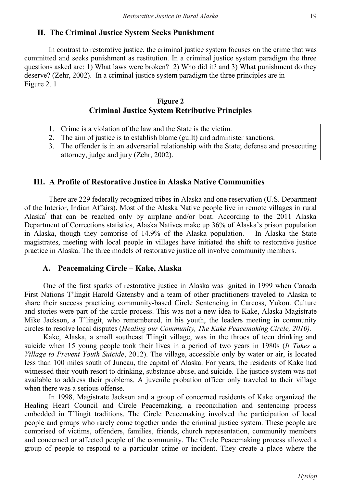# **II. The Criminal Justice System Seeks Punishment**

In contrast to restorative justice, the criminal justice system focuses on the crime that was committed and seeks punishment as restitution. In a criminal justice system paradigm the three questions asked are: 1) What laws were broken? 2) Who did it? and 3) What punishment do they deserve? (Zehr, 2002). In a criminal justice system paradigm the three principles are in Figure 2. 1

### **Figure 2 Criminal Justice System Retributive Principles**

- 1. Crime is a violation of the law and the State is the victim.
- 2. The aim of justice is to establish blame (guilt) and administer sanctions.
- 3. The offender is in an adversarial relationship with the State; defense and prosecuting attorney, judge and jury (Zehr, 2002).

## **III. A Profile of Restorative Justice in Alaska Native Communities**

There are 229 federally recognized tribes in Alaska and one reservation (U.S. Department of the Interior, Indian Affairs). Most of the Alaska Native people live in remote villages in rural Alaska*<sup>i</sup>* that can be reached only by airplane and/or boat. According to the 2011 Alaska Department of Corrections statistics, Alaska Natives make up 36% of Alaska's prison population in Alaska, though they comprise of 14.9% of the Alaska population. In Alaska the State magistrates, meeting with local people in villages have initiated the shift to restorative justice practice in Alaska. The three models of restorative justice all involve community members.

### **A. Peacemaking Circle – Kake, Alaska**

One of the first sparks of restorative justice in Alaska was ignited in 1999 when Canada First Nations T'lingit Harold Gatensby and a team of other practitioners traveled to Alaska to share their success practicing community-based Circle Sentencing in Carcoss, Yukon. Culture and stories were part of the circle process. This was not a new idea to Kake, Alaska Magistrate Mike Jackson, a T'lingit, who remembered, in his youth, the leaders meeting in community circles to resolve local disputes (*Healing our Community, The Kake Peacemaking Circle, 2010).* 

Kake, Alaska, a small southeast Tlingit village, was in the throes of teen drinking and suicide when 15 young people took their lives in a period of two years in 1980s (*It Takes a Village to Prevent Youth Suicide*, 2012). The village, accessible only by water or air, is located less than 100 miles south of Juneau, the capital of Alaska. For years, the residents of Kake had witnessed their youth resort to drinking, substance abuse, and suicide. The justice system was not available to address their problems. A juvenile probation officer only traveled to their village when there was a serious offense.

In 1998, Magistrate Jackson and a group of concerned residents of Kake organized the Healing Heart Council and Circle Peacemaking, a reconciliation and sentencing process embedded in T'lingit traditions. The Circle Peacemaking involved the participation of local people and groups who rarely come together under the criminal justice system. These people are comprised of victims, offenders, families, friends, church representation, community members and concerned or affected people of the community. The Circle Peacemaking process allowed a group of people to respond to a particular crime or incident. They create a place where the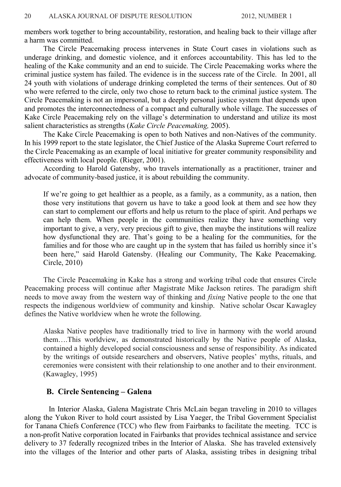members work together to bring accountability, restoration, and healing back to their village after a harm was committed.

The Circle Peacemaking process intervenes in State Court cases in violations such as underage drinking, and domestic violence, and it enforces accountability. This has led to the healing of the Kake community and an end to suicide. The Circle Peacemaking works where the criminal justice system has failed. The evidence is in the success rate of the Circle. In 2001, all 24 youth with violations of underage drinking completed the terms of their sentences. Out of 80 who were referred to the circle, only two chose to return back to the criminal justice system. The Circle Peacemaking is not an impersonal, but a deeply personal justice system that depends upon and promotes the interconnectedness of a compact and culturally whole village. The successes of Kake Circle Peacemaking rely on the village's determination to understand and utilize its most salient characteristics as strengths (*Kake Circle Peacemaking,* 2005).

The Kake Circle Peacemaking is open to both Natives and non-Natives of the community. In his 1999 report to the state legislator, the Chief Justice of the Alaska Supreme Court referred to the Circle Peacemaking as an example of local initiative for greater community responsibility and effectiveness with local people. (Rieger, 2001).

According to Harold Gatensby, who travels internationally as a practitioner, trainer and advocate of community-based justice, it is about rebuilding the community.

If we're going to get healthier as a people, as a family, as a community, as a nation, then those very institutions that govern us have to take a good look at them and see how they can start to complement our efforts and help us return to the place of spirit. And perhaps we can help them. When people in the communities realize they have something very important to give, a very, very precious gift to give, then maybe the institutions will realize how dysfunctional they are. That's going to be a healing for the communities, for the families and for those who are caught up in the system that has failed us horribly since it's been here," said Harold Gatensby. (Healing our Community, The Kake Peacemaking. Circle, 2010)

The Circle Peacemaking in Kake has a strong and working tribal code that ensures Circle Peacemaking process will continue after Magistrate Mike Jackson retires. The paradigm shift needs to move away from the western way of thinking and *fixing* Native people to the one that respects the indigenous worldview of community and kinship. Native scholar Oscar Kawagley defines the Native worldview when he wrote the following.

Alaska Native peoples have traditionally tried to live in harmony with the world around them….This worldview, as demonstrated historically by the Native people of Alaska, contained a highly developed social consciousness and sense of responsibility. As indicated by the writings of outside researchers and observers, Native peoples' myths, rituals, and ceremonies were consistent with their relationship to one another and to their environment. (Kawagley, 1995)

#### **B. Circle Sentencing – Galena**

In Interior Alaska, Galena Magistrate Chris McLain began traveling in 2010 to villages along the Yukon River to hold court assisted by Lisa Yaeger, the Tribal Government Specialist for Tanana Chiefs Conference (TCC) who flew from Fairbanks to facilitate the meeting. TCC is a non-profit Native corporation located in Fairbanks that provides technical assistance and service delivery to 37 federally recognized tribes in the Interior of Alaska. She has traveled extensively into the villages of the Interior and other parts of Alaska, assisting tribes in designing tribal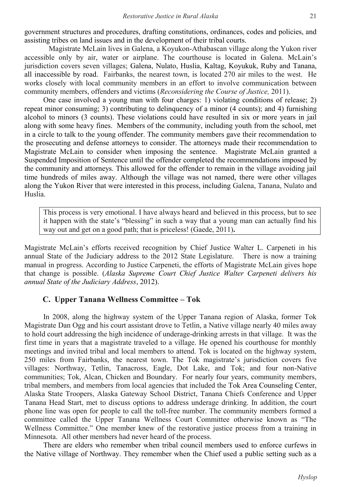government structures and procedures, drafting constitutions, ordinances, codes and policies, and assisting tribes on land issues and in the development of their tribal courts.

Magistrate McLain lives in Galena, a Koyukon-Athabascan village along the Yukon river accessible only by air, water or airplane. The courthouse is located in Galena. McLain's jurisdiction covers seven villages; Galena, Nulato, Huslia, Kaltag, Koyukuk, Ruby and Tanana, all inaccessible by road. Fairbanks, the nearest town, is located 270 air miles to the west. He works closely with local community members in an effort to involve communication between community members, offenders and victims (*Reconsidering the Course of Justice,* 2011).

One case involved a young man with four charges: 1) violating conditions of release; 2) repeat minor consuming; 3) contributing to delinquency of a minor (4 counts); and 4) furnishing alcohol to minors (3 counts). These violations could have resulted in six or more years in jail along with some heavy fines. Members of the community, including youth from the school, met in a circle to talk to the young offender. The community members gave their recommendation to the prosecuting and defense attorneys to consider. The attorneys made their recommendation to Magistrate McLain to consider when imposing the sentence. Magistrate McLain granted a Suspended Imposition of Sentence until the offender completed the recommendations imposed by the community and attorneys. This allowed for the offender to remain in the village avoiding jail time hundreds of miles away. Although the village was not named, there were other villages along the Yukon River that were interested in this process, including Galena, Tanana, Nulato and Huslia.

This process is very emotional. I have always heard and believed in this process, but to see it happen with the state's "blessing" in such a way that a young man can actually find his way out and get on a good path; that is priceless! (Gaede, 2011)**.** 

Magistrate McLain's efforts received recognition by Chief Justice Walter L. Carpeneti in his annual State of the Judiciary address to the 2012 State Legislature. There is now a training manual in progress. According to Justice Carpeneti, the efforts of Magistrate McLain gives hope that change is possible. (*Alaska Supreme Court Chief Justice Walter Carpeneti delivers his annual State of the Judiciary Address*, 2012).

#### **C. Upper Tanana Wellness Committee – Tok**

In 2008, along the highway system of the Upper Tanana region of Alaska, former Tok Magistrate Dan Ogg and his court assistant drove to Tetlin, a Native village nearly 40 miles away to hold court addressing the high incidence of underage-drinking arrests in that village. It was the first time in years that a magistrate traveled to a village. He opened his courthouse for monthly meetings and invited tribal and local members to attend. Tok is located on the highway system, 250 miles from Fairbanks, the nearest town. The Tok magistrate's jurisdiction covers five villages: Northway, Tetlin, Tanacross, Eagle, Dot Lake, and Tok; and four non-Native communities; Tok, Alcan, Chicken and Boundary. For nearly four years, community members, tribal members, and members from local agencies that included the Tok Area Counseling Center, Alaska State Troopers, Alaska Gateway School District, Tanana Chiefs Conference and Upper Tanana Head Start, met to discuss options to address underage drinking. In addition, the court phone line was open for people to call the toll-free number. The community members formed a committee called the Upper Tanana Wellness Court Committee otherwise known as "The Wellness Committee." One member knew of the restorative justice process from a training in Minnesota. All other members had never heard of the process.

There are elders who remember when tribal council members used to enforce curfews in the Native village of Northway. They remember when the Chief used a public setting such as a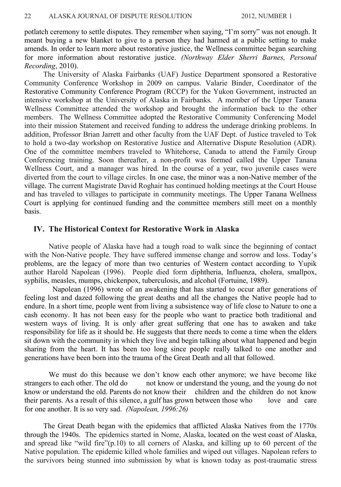potlatch ceremony to settle disputes. They remember when saying, "I'm sorry" was not enough. It meant buying a new blanket to give to a person they had harmed at a public setting to make amends. In order to learn more about restorative justice, the Wellness committee began searching for more information about restorative justice. *(Northway Elder Sherri Barnes, Personal Recording*, 2010).

The University of Alaska Fairbanks (UAF) Justice Department sponsored a Restorative Community Conference Workshop in 2009 on campus. Valarie Binder, Coordinator of the Restorative Community Conference Program (RCCP) for the Yukon Government, instructed an intensive workshop at the University of Alaska in Fairbanks. A member of the Upper Tanana Wellness Committee attended the workshop and brought the information back to the other members. The Wellness Committee adopted the Restorative Community Conferencing Model into their mission Statement and received funding to address the underage drinking problems. In addition, Professor Brian Jarrett and other faculty from the UAF Dept. of Justice traveled to Tok to hold a two-day workshop on Restorative Justice and Alternative Dispute Resolution (ADR). One of the committee members traveled to Whitehorse, Canada to attend the Family Group Conferencing training. Soon thereafter, a non-profit was formed called the Upper Tanana Wellness Court, and a manager was hired. In the course of a year, two juvenile cases were diverted from the court to village circles. In one case, the minor was a non-Native member of the village. The current Magistrate David Roghair has continued holding meetings at the Court House and has traveled to villages to participate in community meetings. The Upper Tanana Wellness Court is applying for continued funding and the committee members still meet on a monthly basis.

### **IV. The Historical Context for Restorative Work in Alaska**

Native people of Alaska have had a tough road to walk since the beginning of contact with the Non-Native people. They have suffered immense change and sorrow and loss. Today's problems, are the legacy of more than two centuries of Western contact according to Yupik author Harold Napolean (1996). People died form diphtheria, Influenza, cholera, smallpox, syphilis, measles, mumps, chickenpox, tuberculosis, and alcohol (Fortuine, 1989).

Napolean (1996) wrote of an awakening that has started to occur after generations of feeling lost and dazed following the great deaths and all the changes the Native people had to endure. In a short time, people went from living a subsistence way of life close to Nature to one a cash economy. It has not been easy for the people who want to practice both traditional and western ways of living. It is only after great suffering that one has to awaken and take responsibility for life as it should be. He suggests that there needs to come a time when the elders sit down with the community in which they live and begin talking about what happened and begin sharing from the heart. It has been too long since people really talked to one another and generations have been born into the trauma of the Great Death and all that followed.

We must do this because we don't know each other anymore; we have become like strangers to each other. The old do not know or understand the young, and the young do not know or understand the old. Parents do not know their children and the children do not know their parents. As a result of this silence, a gulf has grown between those who love and care for one another. It is so very sad. *(Napolean, 1996:26)*

The Great Death began with the epidemics that afflicted Alaska Natives from the 1770s through the 1940s. The epidemics started in Nome, Alaska, located on the west coast of Alaska, and spread like "wild fire"(p.10) to all corners of Alaska, and killing up to 60 percent of the Native population. The epidemic killed whole families and wiped out villages. Napolean refers to the survivors being stunned into submission by what is known today as post-traumatic stress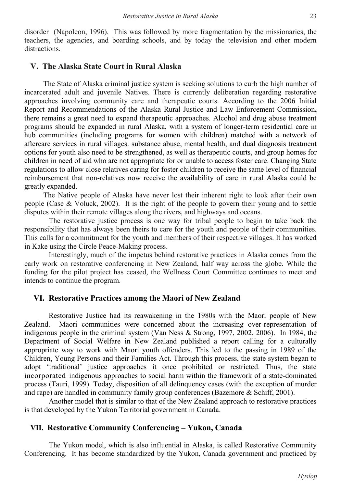disorder (Napoleon, 1996). This was followed by more fragmentation by the missionaries, the teachers, the agencies, and boarding schools, and by today the television and other modern distractions.

## **V. The Alaska State Court in Rural Alaska**

The State of Alaska criminal justice system is seeking solutions to curb the high number of incarcerated adult and juvenile Natives. There is currently deliberation regarding restorative approaches involving community care and therapeutic courts. According to the 2006 Initial Report and Recommendations of the Alaska Rural Justice and Law Enforcement Commission**,**  there remains a great need to expand therapeutic approaches. Alcohol and drug abuse treatment programs should be expanded in rural Alaska, with a system of longer-term residential care in hub communities (including programs for women with children) matched with a network of aftercare services in rural villages. substance abuse, mental health, and dual diagnosis treatment options for youth also need to be strengthened, as well as therapeutic courts, and group homes for children in need of aid who are not appropriate for or unable to access foster care. Changing State regulations to allow close relatives caring for foster children to receive the same level of financial reimbursement that non-relatives now receive the availability of care in rural Alaska could be greatly expanded.

The Native people of Alaska have never lost their inherent right to look after their own people (Case & Voluck, 2002). It is the right of the people to govern their young and to settle disputes within their remote villages along the rivers, and highways and oceans.

The restorative justice process is one way for tribal people to begin to take back the responsibility that has always been theirs to care for the youth and people of their communities. This calls for a commitment for the youth and members of their respective villages. It has worked in Kake using the Circle Peace-Making process.

Interestingly, much of the impetus behind restorative practices in Alaska comes from the early work on restorative conferencing in New Zealand, half way across the globe. While the funding for the pilot project has ceased, the Wellness Court Committee continues to meet and intends to continue the program.

### **VI. Restorative Practices among the Maori of New Zealand**

Restorative Justice had its reawakening in the 1980s with the Maori people of New Zealand. Maori communities were concerned about the increasing over-representation of indigenous people in the criminal system (Van Ness & Strong, 1997, 2002, 2006). In 1984, the Department of Social Welfare in New Zealand published a report calling for a culturally appropriate way to work with Maori youth offenders. This led to the passing in 1989 of the Children, Young Persons and their Families Act. Through this process, the state system began to adopt 'traditional' justice approaches it once prohibited or restricted. Thus, the state incorporated indigenous approaches to social harm within the framework of a state-dominated process (Tauri, 1999). Today, disposition of all delinquency cases (with the exception of murder and rape) are handled in community family group conferences (Bazemore & Schiff, 2001).

Another model that is similar to that of the New Zealand approach to restorative practices is that developed by the Yukon Territorial government in Canada.

### **VII. Restorative Community Conferencing – Yukon, Canada**

The Yukon model, which is also influential in Alaska, is called Restorative Community Conferencing. It has become standardized by the Yukon, Canada government and practiced by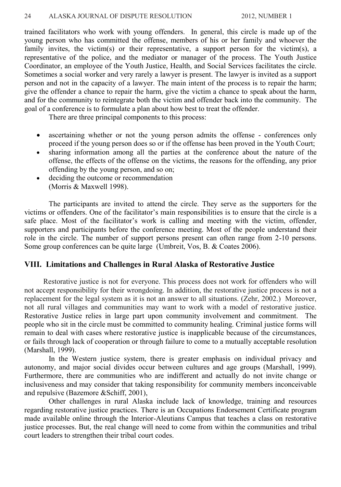trained facilitators who work with young offenders. In general, this circle is made up of the young person who has committed the offense, members of his or her family and whoever the family invites, the victim(s) or their representative, a support person for the victim(s), a representative of the police, and the mediator or manager of the process. The Youth Justice Coordinator, an employee of the Youth Justice, Health, and Social Services facilitates the circle. Sometimes a social worker and very rarely a lawyer is present. The lawyer is invited as a support person and not in the capacity of a lawyer. The main intent of the process is to repair the harm; give the offender a chance to repair the harm, give the victim a chance to speak about the harm, and for the community to reintegrate both the victim and offender back into the community. The goal of a conference is to formulate a plan about how best to treat the offender.

There are three principal components to this process:

- ascertaining whether or not the young person admits the offense conferences only proceed if the young person does so or if the offense has been proved in the Youth Court;
- sharing information among all the parties at the conference about the nature of the offense, the effects of the offense on the victims, the reasons for the offending, any prior offending by the young person, and so on;
- deciding the outcome or recommendation (Morris & Maxwell 1998).

The participants are invited to attend the circle. They serve as the supporters for the victims or offenders. One of the facilitator's main responsibilities is to ensure that the circle is a safe place. Most of the facilitator's work is calling and meeting with the victim, offender, supporters and participants before the conference meeting. Most of the people understand their role in the circle. The number of support persons present can often range from 2-10 persons. Some group conferences can be quite large (Umbreit, Vos, B. & Coates 2006).

#### **VIII. Limitations and Challenges in Rural Alaska of Restorative Justice**

Restorative justice is not for everyone. This process does not work for offenders who will not accept responsibility for their wrongdoing. In addition, the restorative justice process is not a replacement for the legal system as it is not an answer to all situations. (Zehr, 2002.) Moreover, not all rural villages and communities may want to work with a model of restorative justice. Restorative Justice relies in large part upon community involvement and commitment. The people who sit in the circle must be committed to community healing. Criminal justice forms will remain to deal with cases where restorative justice is inapplicable because of the circumstances, or fails through lack of cooperation or through failure to come to a mutually acceptable resolution (Marshall, 1999).

In the Western justice system, there is greater emphasis on individual privacy and autonomy, and major social divides occur between cultures and age groups (Marshall, 1999). Furthermore, there are communities who are indifferent and actually do not invite change or inclusiveness and may consider that taking responsibility for community members inconceivable and repulsive (Bazemore &Schiff, 2001),

Other challenges in rural Alaska include lack of knowledge, training and resources regarding restorative justice practices. There is an Occupations Endorsement Certificate program made available online through the Interior-Aleutians Campus that teaches a class on restorative justice processes. But, the real change will need to come from within the communities and tribal court leaders to strengthen their tribal court codes.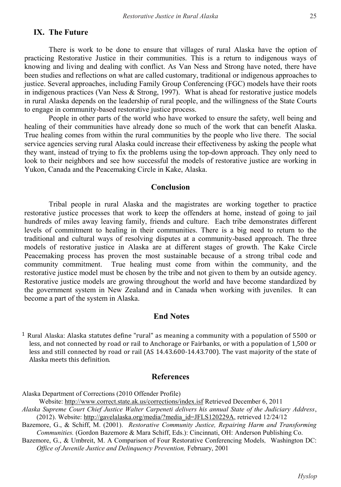### **IX. The Future**

There is work to be done to ensure that villages of rural Alaska have the option of practicing Restorative Justice in their communities. This is a return to indigenous ways of knowing and living and dealing with conflict. As Van Ness and Strong have noted, there have been studies and reflections on what are called customary, traditional or indigenous approaches to justice. Several approaches, including Family Group Conferencing (FGC) models have their roots in indigenous practices (Van Ness & Strong, 1997). What is ahead for restorative justice models in rural Alaska depends on the leadership of rural people, and the willingness of the State Courts to engage in community-based restorative justice process.

People in other parts of the world who have worked to ensure the safety, well being and healing of their communities have already done so much of the work that can benefit Alaska. True healing comes from within the rural communities by the people who live there. The social service agencies serving rural Alaska could increase their effectiveness by asking the people what they want, instead of trying to fix the problems using the top-down approach. They only need to look to their neighbors and see how successful the models of restorative justice are working in Yukon, Canada and the Peacemaking Circle in Kake, Alaska.

#### **Conclusion**

Tribal people in rural Alaska and the magistrates are working together to practice restorative justice processes that work to keep the offenders at home, instead of going to jail hundreds of miles away leaving family, friends and culture. Each tribe demonstrates different levels of commitment to healing in their communities. There is a big need to return to the traditional and cultural ways of resolving disputes at a community-based approach. The three models of restorative justice in Alaska are at different stages of growth. The Kake Circle Peacemaking process has proven the most sustainable because of a strong tribal code and community commitment. True healing must come from within the community, and the restorative justice model must be chosen by the tribe and not given to them by an outside agency. Restorative justice models are growing throughout the world and have become standardized by the government system in New Zealand and in Canada when working with juveniles. It can become a part of the system in Alaska.

#### **End Notes**

<sup>1</sup> Rural Alaska: Alaska statutes define "rural" as meaning a community with a population of 5500 or less, and not connected by road or rail to Anchorage or Fairbanks, or with a population of 1,500 or less and still connected by road or rail (AS 14.43.600-14.43.700). The vast majority of the state of Alaska meets this definition.

#### **References**

Alaska Department of Corrections (2010 Offender Profile)

Website: http://www.correct.state.ak.us/corrections/index.isf Retrieved December 6, 2011

*Alaska Supreme Court Chief Justice Walter Carpeneti delivers his annual State of the Judiciary Address*, (2012). Website: http://gavelalaska.org/media/?media\_id=JFLS120229A, retrieved 12/24/12

Bazemore, G., & Schiff, M. (2001). *Restorative Community Justice, Repairing Harm and Transforming Communities.* (Gordon Bazemore & Mara Schiff, Eds.): Cincinnati, OH: Anderson Publishing Co.

Bazemore, G., & Umbreit, M. A Comparison of Four Restorative Conferencing Models*,* Washington DC: *Office of Juvenile Justice and Delinquency Prevention,* February, 2001